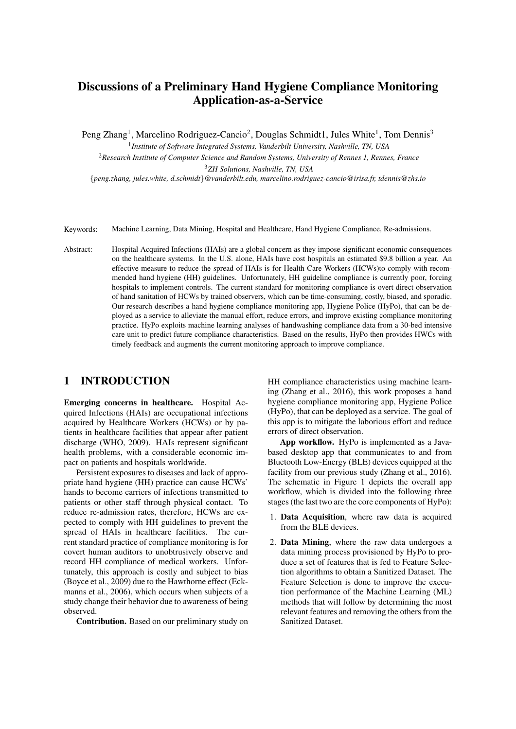# Discussions of a Preliminary Hand Hygiene Compliance Monitoring Application-as-a-Service

Peng Zhang<sup>1</sup>, Marcelino Rodriguez-Cancio<sup>2</sup>, Douglas Schmidt1, Jules White<sup>1</sup>, Tom Dennis<sup>3</sup>

1 *Institute of Software Integrated Systems, Vanderbilt University, Nashville, TN, USA* <sup>2</sup>*Research Institute of Computer Science and Random Systems, University of Rennes 1, Rennes, France* <sup>3</sup>*ZH Solutions, Nashville, TN, USA*

{*peng.zhang, jules.white, d.schmidt*}*@vanderbilt.edu, marcelino.rodriguez-cancio@irisa.fr, tdennis@zhs.io*

- Keywords: Machine Learning, Data Mining, Hospital and Healthcare, Hand Hygiene Compliance, Re-admissions.
- Abstract: Hospital Acquired Infections (HAIs) are a global concern as they impose significant economic consequences on the healthcare systems. In the U.S. alone, HAIs have cost hospitals an estimated \$9.8 billion a year. An effective measure to reduce the spread of HAIs is for Health Care Workers (HCWs)to comply with recommended hand hygiene (HH) guidelines. Unfortunately, HH guideline compliance is currently poor, forcing hospitals to implement controls. The current standard for monitoring compliance is overt direct observation of hand sanitation of HCWs by trained observers, which can be time-consuming, costly, biased, and sporadic. Our research describes a hand hygiene compliance monitoring app, Hygiene Police (HyPo), that can be deployed as a service to alleviate the manual effort, reduce errors, and improve existing compliance monitoring practice. HyPo exploits machine learning analyses of handwashing compliance data from a 30-bed intensive care unit to predict future compliance characteristics. Based on the results, HyPo then provides HWCs with timely feedback and augments the current monitoring approach to improve compliance.

### 1 INTRODUCTION

Emerging concerns in healthcare. Hospital Acquired Infections (HAIs) are occupational infections acquired by Healthcare Workers (HCWs) or by patients in healthcare facilities that appear after patient discharge (WHO, 2009). HAIs represent significant health problems, with a considerable economic impact on patients and hospitals worldwide.

Persistent exposures to diseases and lack of appropriate hand hygiene (HH) practice can cause HCWs' hands to become carriers of infections transmitted to patients or other staff through physical contact. To reduce re-admission rates, therefore, HCWs are expected to comply with HH guidelines to prevent the spread of HAIs in healthcare facilities. The current standard practice of compliance monitoring is for covert human auditors to unobtrusively observe and record HH compliance of medical workers. Unfortunately, this approach is costly and subject to bias (Boyce et al., 2009) due to the Hawthorne effect (Eckmanns et al., 2006), which occurs when subjects of a study change their behavior due to awareness of being observed.

Contribution. Based on our preliminary study on

HH compliance characteristics using machine learning (Zhang et al., 2016), this work proposes a hand hygiene compliance monitoring app, Hygiene Police (HyPo), that can be deployed as a service. The goal of this app is to mitigate the laborious effort and reduce errors of direct observation.

App workflow. HyPo is implemented as a Javabased desktop app that communicates to and from Bluetooth Low-Energy (BLE) devices equipped at the facility from our previous study (Zhang et al., 2016). The schematic in Figure 1 depicts the overall app workflow, which is divided into the following three stages (the last two are the core components of HyPo):

- 1. Data Acquisition, where raw data is acquired from the BLE devices.
- 2. Data Mining, where the raw data undergoes a data mining process provisioned by HyPo to produce a set of features that is fed to Feature Selection algorithms to obtain a Sanitized Dataset. The Feature Selection is done to improve the execution performance of the Machine Learning (ML) methods that will follow by determining the most relevant features and removing the others from the Sanitized Dataset.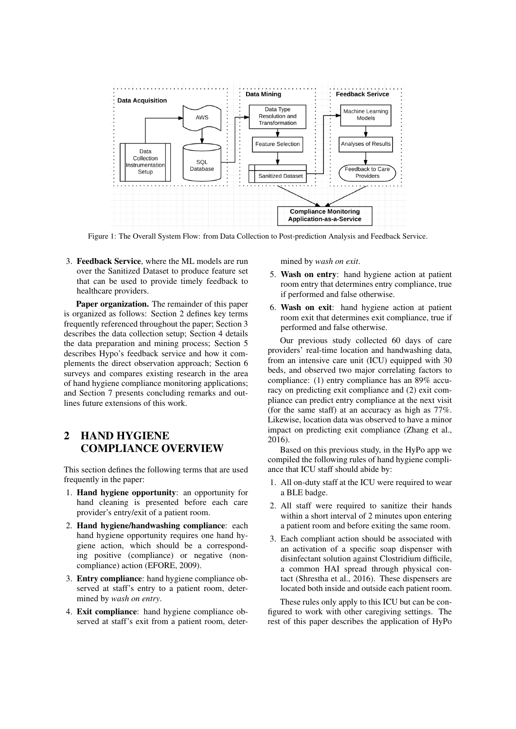

Figure 1: The Overall System Flow: from Data Collection to Post-prediction Analysis and Feedback Service.

3. Feedback Service, where the ML models are run over the Sanitized Dataset to produce feature set that can be used to provide timely feedback to healthcare providers.

Paper organization. The remainder of this paper is organized as follows: Section 2 defines key terms frequently referenced throughout the paper; Section 3 describes the data collection setup; Section 4 details the data preparation and mining process; Section 5 describes Hypo's feedback service and how it complements the direct observation approach; Section 6 surveys and compares existing research in the area of hand hygiene compliance monitoring applications; and Section 7 presents concluding remarks and outlines future extensions of this work.

## 2 HAND HYGIENE COMPLIANCE OVERVIEW

This section defines the following terms that are used frequently in the paper:

- 1. Hand hygiene opportunity: an opportunity for hand cleaning is presented before each care provider's entry/exit of a patient room.
- 2. Hand hygiene/handwashing compliance: each hand hygiene opportunity requires one hand hygiene action, which should be a corresponding positive (compliance) or negative (noncompliance) action (EFORE, 2009).
- 3. Entry compliance: hand hygiene compliance observed at staff's entry to a patient room, determined by *wash on entry*.
- 4. Exit compliance: hand hygiene compliance observed at staff's exit from a patient room, deter-

mined by *wash on exit*.

- 5. Wash on entry: hand hygiene action at patient room entry that determines entry compliance, true if performed and false otherwise.
- 6. Wash on exit: hand hygiene action at patient room exit that determines exit compliance, true if performed and false otherwise.

Our previous study collected 60 days of care providers' real-time location and handwashing data, from an intensive care unit (ICU) equipped with 30 beds, and observed two major correlating factors to compliance: (1) entry compliance has an 89% accuracy on predicting exit compliance and (2) exit compliance can predict entry compliance at the next visit (for the same staff) at an accuracy as high as 77%. Likewise, location data was observed to have a minor impact on predicting exit compliance (Zhang et al., 2016).

Based on this previous study, in the HyPo app we compiled the following rules of hand hygiene compliance that ICU staff should abide by:

- 1. All on-duty staff at the ICU were required to wear a BLE badge.
- 2. All staff were required to sanitize their hands within a short interval of 2 minutes upon entering a patient room and before exiting the same room.
- 3. Each compliant action should be associated with an activation of a specific soap dispenser with disinfectant solution against Clostridium difficile, a common HAI spread through physical contact (Shrestha et al., 2016). These dispensers are located both inside and outside each patient room.

These rules only apply to this ICU but can be configured to work with other caregiving settings. The rest of this paper describes the application of HyPo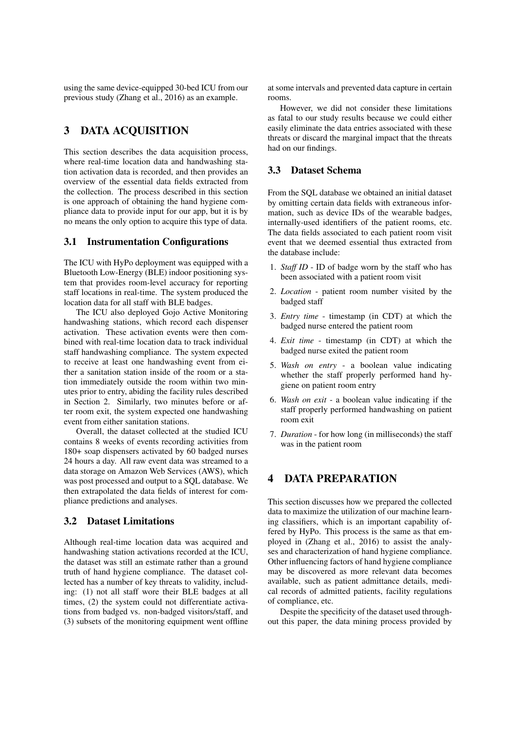using the same device-equipped 30-bed ICU from our previous study (Zhang et al., 2016) as an example.

### 3 DATA ACQUISITION

This section describes the data acquisition process, where real-time location data and handwashing station activation data is recorded, and then provides an overview of the essential data fields extracted from the collection. The process described in this section is one approach of obtaining the hand hygiene compliance data to provide input for our app, but it is by no means the only option to acquire this type of data.

#### 3.1 Instrumentation Configurations

The ICU with HyPo deployment was equipped with a Bluetooth Low-Energy (BLE) indoor positioning system that provides room-level accuracy for reporting staff locations in real-time. The system produced the location data for all staff with BLE badges.

The ICU also deployed Gojo Active Monitoring handwashing stations, which record each dispenser activation. These activation events were then combined with real-time location data to track individual staff handwashing compliance. The system expected to receive at least one handwashing event from either a sanitation station inside of the room or a station immediately outside the room within two minutes prior to entry, abiding the facility rules described in Section 2. Similarly, two minutes before or after room exit, the system expected one handwashing event from either sanitation stations.

Overall, the dataset collected at the studied ICU contains 8 weeks of events recording activities from 180+ soap dispensers activated by 60 badged nurses 24 hours a day. All raw event data was streamed to a data storage on Amazon Web Services (AWS), which was post processed and output to a SQL database. We then extrapolated the data fields of interest for compliance predictions and analyses.

### 3.2 Dataset Limitations

Although real-time location data was acquired and handwashing station activations recorded at the ICU, the dataset was still an estimate rather than a ground truth of hand hygiene compliance. The dataset collected has a number of key threats to validity, including: (1) not all staff wore their BLE badges at all times, (2) the system could not differentiate activations from badged vs. non-badged visitors/staff, and (3) subsets of the monitoring equipment went offline at some intervals and prevented data capture in certain rooms.

However, we did not consider these limitations as fatal to our study results because we could either easily eliminate the data entries associated with these threats or discard the marginal impact that the threats had on our findings.

#### 3.3 Dataset Schema

From the SQL database we obtained an initial dataset by omitting certain data fields with extraneous information, such as device IDs of the wearable badges, internally-used identifiers of the patient rooms, etc. The data fields associated to each patient room visit event that we deemed essential thus extracted from the database include:

- 1. *Staff ID* ID of badge worn by the staff who has been associated with a patient room visit
- 2. *Location* patient room number visited by the badged staff
- 3. *Entry time* timestamp (in CDT) at which the badged nurse entered the patient room
- 4. *Exit time* timestamp (in CDT) at which the badged nurse exited the patient room
- 5. *Wash on entry* a boolean value indicating whether the staff properly performed hand hygiene on patient room entry
- 6. *Wash on exit* a boolean value indicating if the staff properly performed handwashing on patient room exit
- 7. *Duration* for how long (in milliseconds) the staff was in the patient room

### 4 DATA PREPARATION

This section discusses how we prepared the collected data to maximize the utilization of our machine learning classifiers, which is an important capability offered by HyPo. This process is the same as that employed in (Zhang et al., 2016) to assist the analyses and characterization of hand hygiene compliance. Other influencing factors of hand hygiene compliance may be discovered as more relevant data becomes available, such as patient admittance details, medical records of admitted patients, facility regulations of compliance, etc.

Despite the specificity of the dataset used throughout this paper, the data mining process provided by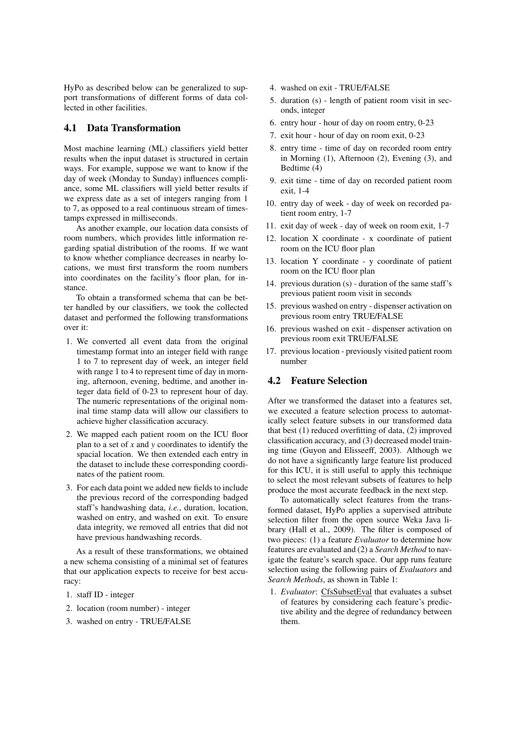HyPo as described below can be generalized to support transformations of different forms of data collected in other facilities.

#### 4.1 Data Transformation

Most machine learning (ML) classifiers yield better results when the input dataset is structured in certain ways. For example, suppose we want to know if the day of week (Monday to Sunday) influences compliance, some ML classifiers will yield better results if we express date as a set of integers ranging from 1 to 7, as opposed to a real continuous stream of timestamps expressed in milliseconds.

As another example, our location data consists of room numbers, which provides little information regarding spatial distribution of the rooms. If we want to know whether compliance decreases in nearby locations, we must first transform the room numbers into coordinates on the facility's floor plan, for instance.

To obtain a transformed schema that can be better handled by our classifiers, we took the collected dataset and performed the following transformations over it:

- 1. We converted all event data from the original timestamp format into an integer field with range 1 to 7 to represent day of week, an integer field with range 1 to 4 to represent time of day in morning, afternoon, evening, bedtime, and another integer data field of 0-23 to represent hour of day. The numeric representations of the original nominal time stamp data will allow our classifiers to achieve higher classification accuracy.
- 2. We mapped each patient room on the ICU floor plan to a set of *x* and *y* coordinates to identify the spacial location. We then extended each entry in the dataset to include these corresponding coordinates of the patient room.
- 3. For each data point we added new fields to include the previous record of the corresponding badged staff's handwashing data, *i.e.*, duration, location, washed on entry, and washed on exit. To ensure data integrity, we removed all entries that did not have previous handwashing records.

As a result of these transformations, we obtained a new schema consisting of a minimal set of features that our application expects to receive for best accuracy:

- 1. staff ID integer
- 2. location (room number) integer
- 3. washed on entry TRUE/FALSE
- 4. washed on exit TRUE/FALSE
- 5. duration (s) length of patient room visit in seconds, integer
- 6. entry hour hour of day on room entry, 0-23
- 7. exit hour hour of day on room exit, 0-23
- 8. entry time time of day on recorded room entry in Morning (1), Afternoon (2), Evening (3), and Bedtime (4)
- 9. exit time time of day on recorded patient room exit, 1-4
- 10. entry day of week day of week on recorded patient room entry, 1-7
- 11. exit day of week day of week on room exit, 1-7
- 12. location X coordinate x coordinate of patient room on the ICU floor plan
- 13. location Y coordinate y coordinate of patient room on the ICU floor plan
- 14. previous duration (s) duration of the same staff's previous patient room visit in seconds
- 15. previous washed on entry dispenser activation on previous room entry TRUE/FALSE
- 16. previous washed on exit dispenser activation on previous room exit TRUE/FALSE
- 17. previous location previously visited patient room number

#### 4.2 Feature Selection

After we transformed the dataset into a features set, we executed a feature selection process to automatically select feature subsets in our transformed data that best (1) reduced overfitting of data, (2) improved classification accuracy, and (3) decreased model training time (Guyon and Elisseeff, 2003). Although we do not have a significantly large feature list produced for this ICU, it is still useful to apply this technique to select the most relevant subsets of features to help produce the most accurate feedback in the next step.

To automatically select features from the transformed dataset, HyPo applies a supervised attribute selection filter from the open source Weka Java library (Hall et al., 2009). The filter is composed of two pieces: (1) a feature *Evaluator* to determine how features are evaluated and (2) a *Search Method* to navigate the feature's search space. Our app runs feature selection using the following pairs of *Evaluators* and *Search Methods*, as shown in Table 1:

1. *Evaluator*: CfsSubsetEval that evaluates a subset of features by considering each feature's predictive ability and the degree of redundancy between them.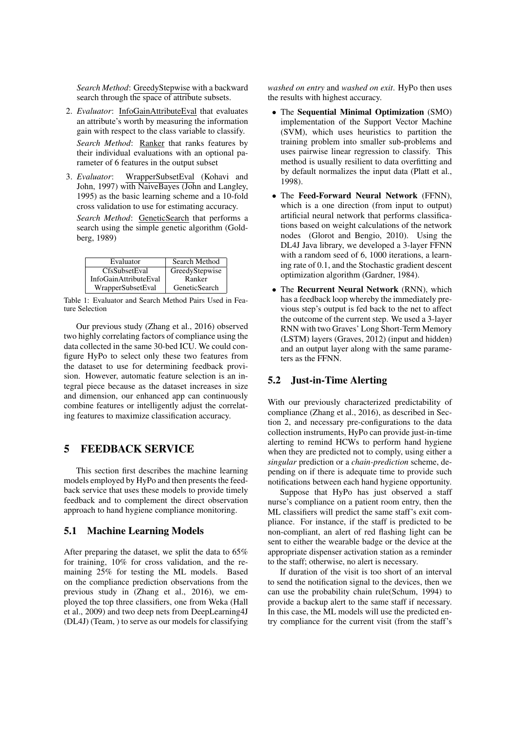*Search Method*: GreedyStepwise with a backward search through the space of attribute subsets.

- 2. *Evaluator*: InfoGainAttributeEval that evaluates an attribute's worth by measuring the information gain with respect to the class variable to classify. *Search Method*: Ranker that ranks features by their individual evaluations with an optional parameter of 6 features in the output subset
- 3. *Evaluator*: WrapperSubsetEval (Kohavi and John, 1997) with NaiveBayes (John and Langley, 1995) as the basic learning scheme and a 10-fold cross validation to use for estimating accuracy.

*Search Method*: GeneticSearch that performs a search using the simple genetic algorithm (Goldberg, 1989)

| Evaluator             | Search Method  |
|-----------------------|----------------|
| CfsSubsetEval         | GreedyStepwise |
| InfoGainAttributeEval | Ranker         |
| WrapperSubsetEval     | GeneticSearch  |

Table 1: Evaluator and Search Method Pairs Used in Feature Selection

Our previous study (Zhang et al., 2016) observed two highly correlating factors of compliance using the data collected in the same 30-bed ICU. We could configure HyPo to select only these two features from the dataset to use for determining feedback provision. However, automatic feature selection is an integral piece because as the dataset increases in size and dimension, our enhanced app can continuously combine features or intelligently adjust the correlating features to maximize classification accuracy.

### 5 FEEDBACK SERVICE

This section first describes the machine learning models employed by HyPo and then presents the feedback service that uses these models to provide timely feedback and to complement the direct observation approach to hand hygiene compliance monitoring.

#### 5.1 Machine Learning Models

After preparing the dataset, we split the data to 65% for training, 10% for cross validation, and the remaining 25% for testing the ML models. Based on the compliance prediction observations from the previous study in (Zhang et al., 2016), we employed the top three classifiers, one from Weka (Hall et al., 2009) and two deep nets from DeepLearning4J (DL4J) (Team, ) to serve as our models for classifying *washed on entry* and *washed on exit*. HyPo then uses the results with highest accuracy.

- The Sequential Minimal Optimization (SMO) implementation of the Support Vector Machine (SVM), which uses heuristics to partition the training problem into smaller sub-problems and uses pairwise linear regression to classify. This method is usually resilient to data overfitting and by default normalizes the input data (Platt et al., 1998).
- The Feed-Forward Neural Network (FFNN), which is a one direction (from input to output) artificial neural network that performs classifications based on weight calculations of the network nodes (Glorot and Bengio, 2010). Using the DL4J Java library, we developed a 3-layer FFNN with a random seed of 6, 1000 iterations, a learning rate of 0.1, and the Stochastic gradient descent optimization algorithm (Gardner, 1984).
- The Recurrent Neural Network (RNN), which has a feedback loop whereby the immediately previous step's output is fed back to the net to affect the outcome of the current step. We used a 3-layer RNN with two Graves' Long Short-Term Memory (LSTM) layers (Graves, 2012) (input and hidden) and an output layer along with the same parameters as the FFNN.

#### 5.2 Just-in-Time Alerting

With our previously characterized predictability of compliance (Zhang et al., 2016), as described in Section 2, and necessary pre-configurations to the data collection instruments, HyPo can provide just-in-time alerting to remind HCWs to perform hand hygiene when they are predicted not to comply, using either a *singular* prediction or a *chain-prediction* scheme, depending on if there is adequate time to provide such notifications between each hand hygiene opportunity.

Suppose that HyPo has just observed a staff nurse's compliance on a patient room entry, then the ML classifiers will predict the same staff's exit compliance. For instance, if the staff is predicted to be non-compliant, an alert of red flashing light can be sent to either the wearable badge or the device at the appropriate dispenser activation station as a reminder to the staff; otherwise, no alert is necessary.

If duration of the visit is too short of an interval to send the notification signal to the devices, then we can use the probability chain rule(Schum, 1994) to provide a backup alert to the same staff if necessary. In this case, the ML models will use the predicted entry compliance for the current visit (from the staff's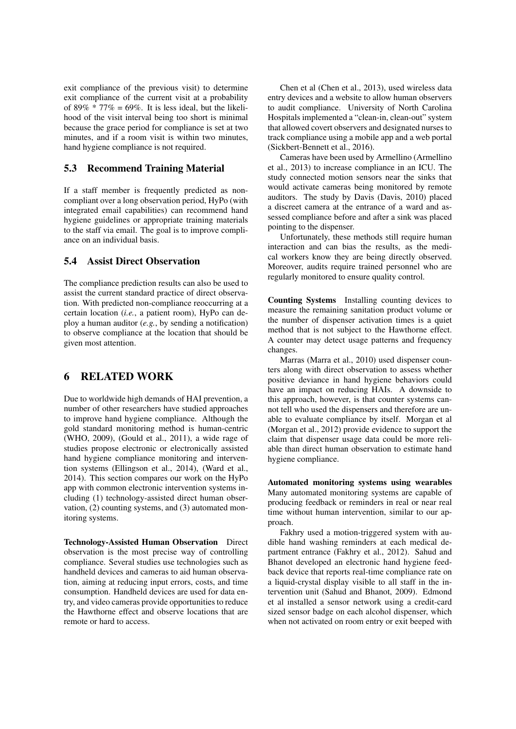exit compliance of the previous visit) to determine exit compliance of the current visit at a probability of 89%  $*$  77% = 69%. It is less ideal, but the likelihood of the visit interval being too short is minimal because the grace period for compliance is set at two minutes, and if a room visit is within two minutes, hand hygiene compliance is not required.

#### 5.3 Recommend Training Material

If a staff member is frequently predicted as noncompliant over a long observation period, HyPo (with integrated email capabilities) can recommend hand hygiene guidelines or appropriate training materials to the staff via email. The goal is to improve compliance on an individual basis.

#### 5.4 Assist Direct Observation

The compliance prediction results can also be used to assist the current standard practice of direct observation. With predicted non-compliance reoccurring at a certain location (*i.e.*, a patient room), HyPo can deploy a human auditor (*e.g.*, by sending a notification) to observe compliance at the location that should be given most attention.

### 6 RELATED WORK

Due to worldwide high demands of HAI prevention, a number of other researchers have studied approaches to improve hand hygiene compliance. Although the gold standard monitoring method is human-centric (WHO, 2009), (Gould et al., 2011), a wide rage of studies propose electronic or electronically assisted hand hygiene compliance monitoring and intervention systems (Ellingson et al., 2014), (Ward et al., 2014). This section compares our work on the HyPo app with common electronic intervention systems including (1) technology-assisted direct human observation, (2) counting systems, and (3) automated monitoring systems.

Technology-Assisted Human Observation Direct observation is the most precise way of controlling compliance. Several studies use technologies such as handheld devices and cameras to aid human observation, aiming at reducing input errors, costs, and time consumption. Handheld devices are used for data entry, and video cameras provide opportunities to reduce the Hawthorne effect and observe locations that are remote or hard to access.

Chen et al (Chen et al., 2013), used wireless data entry devices and a website to allow human observers to audit compliance. University of North Carolina Hospitals implemented a "clean-in, clean-out" system that allowed covert observers and designated nurses to track compliance using a mobile app and a web portal (Sickbert-Bennett et al., 2016).

Cameras have been used by Armellino (Armellino et al., 2013) to increase compliance in an ICU. The study connected motion sensors near the sinks that would activate cameras being monitored by remote auditors. The study by Davis (Davis, 2010) placed a discreet camera at the entrance of a ward and assessed compliance before and after a sink was placed pointing to the dispenser.

Unfortunately, these methods still require human interaction and can bias the results, as the medical workers know they are being directly observed. Moreover, audits require trained personnel who are regularly monitored to ensure quality control.

Counting Systems Installing counting devices to measure the remaining sanitation product volume or the number of dispenser activation times is a quiet method that is not subject to the Hawthorne effect. A counter may detect usage patterns and frequency changes.

Marras (Marra et al., 2010) used dispenser counters along with direct observation to assess whether positive deviance in hand hygiene behaviors could have an impact on reducing HAIs. A downside to this approach, however, is that counter systems cannot tell who used the dispensers and therefore are unable to evaluate compliance by itself. Morgan et al (Morgan et al., 2012) provide evidence to support the claim that dispenser usage data could be more reliable than direct human observation to estimate hand hygiene compliance.

Automated monitoring systems using wearables Many automated monitoring systems are capable of producing feedback or reminders in real or near real time without human intervention, similar to our approach.

Fakhry used a motion-triggered system with audible hand washing reminders at each medical department entrance (Fakhry et al., 2012). Sahud and Bhanot developed an electronic hand hygiene feedback device that reports real-time compliance rate on a liquid-crystal display visible to all staff in the intervention unit (Sahud and Bhanot, 2009). Edmond et al installed a sensor network using a credit-card sized sensor badge on each alcohol dispenser, which when not activated on room entry or exit beeped with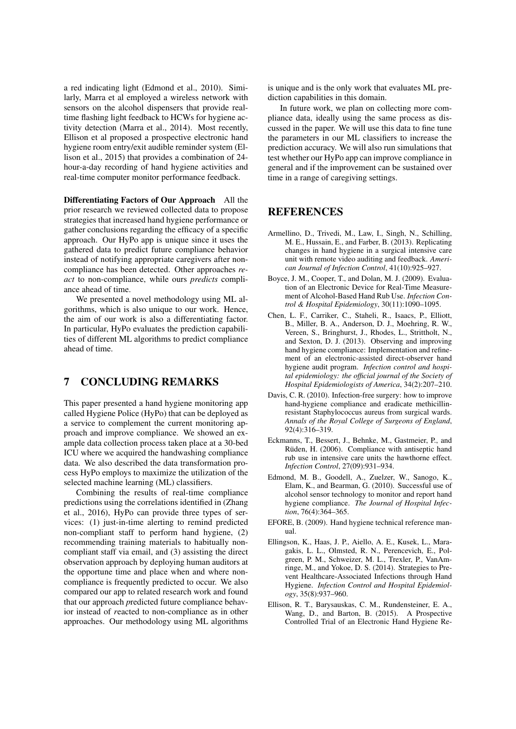a red indicating light (Edmond et al., 2010). Similarly, Marra et al employed a wireless network with sensors on the alcohol dispensers that provide realtime flashing light feedback to HCWs for hygiene activity detection (Marra et al., 2014). Most recently, Ellison et al proposed a prospective electronic hand hygiene room entry/exit audible reminder system (Ellison et al., 2015) that provides a combination of 24 hour-a-day recording of hand hygiene activities and real-time computer monitor performance feedback.

Differentiating Factors of Our Approach All the prior research we reviewed collected data to propose strategies that increased hand hygiene performance or gather conclusions regarding the efficacy of a specific approach. Our HyPo app is unique since it uses the gathered data to predict future compliance behavior instead of notifying appropriate caregivers after noncompliance has been detected. Other approaches *react* to non-compliance, while ours *predicts* compliance ahead of time.

We presented a novel methodology using ML algorithms, which is also unique to our work. Hence, the aim of our work is also a differentiating factor. In particular, HyPo evaluates the prediction capabilities of different ML algorithms to predict compliance ahead of time.

### 7 CONCLUDING REMARKS

This paper presented a hand hygiene monitoring app called Hygiene Police (HyPo) that can be deployed as a service to complement the current monitoring approach and improve compliance. We showed an example data collection process taken place at a 30-bed ICU where we acquired the handwashing compliance data. We also described the data transformation process HyPo employs to maximize the utilization of the selected machine learning (ML) classifiers.

Combining the results of real-time compliance predictions using the correlations identified in (Zhang et al., 2016), HyPo can provide three types of services: (1) just-in-time alerting to remind predicted non-compliant staff to perform hand hygiene, (2) recommending training materials to habitually noncompliant staff via email, and (3) assisting the direct observation approach by deploying human auditors at the opportune time and place when and where noncompliance is frequently predicted to occur. We also compared our app to related research work and found that our approach *p*redicted future compliance behavior instead of *r*eacted to non-compliance as in other approaches. Our methodology using ML algorithms

is unique and is the only work that evaluates ML prediction capabilities in this domain.

In future work, we plan on collecting more compliance data, ideally using the same process as discussed in the paper. We will use this data to fine tune the parameters in our ML classifiers to increase the prediction accuracy. We will also run simulations that test whether our HyPo app can improve compliance in general and if the improvement can be sustained over time in a range of caregiving settings.

### REFERENCES

- Armellino, D., Trivedi, M., Law, I., Singh, N., Schilling, M. E., Hussain, E., and Farber, B. (2013). Replicating changes in hand hygiene in a surgical intensive care unit with remote video auditing and feedback. *American Journal of Infection Control*, 41(10):925–927.
- Boyce, J. M., Cooper, T., and Dolan, M. J. (2009). Evaluation of an Electronic Device for Real-Time Measurement of Alcohol-Based Hand Rub Use. *Infection Control & Hospital Epidemiology*, 30(11):1090–1095.
- Chen, L. F., Carriker, C., Staheli, R., Isaacs, P., Elliott, B., Miller, B. A., Anderson, D. J., Moehring, R. W., Vereen, S., Bringhurst, J., Rhodes, L., Strittholt, N., and Sexton, D. J. (2013). Observing and improving hand hygiene compliance: Implementation and refinement of an electronic-assisted direct-observer hand hygiene audit program. *Infection control and hospital epidemiology: the official journal of the Society of Hospital Epidemiologists of America*, 34(2):207–210.
- Davis, C. R. (2010). Infection-free surgery: how to improve hand-hygiene compliance and eradicate methicillinresistant Staphylococcus aureus from surgical wards. *Annals of the Royal College of Surgeons of England*, 92(4):316–319.
- Eckmanns, T., Bessert, J., Behnke, M., Gastmeier, P., and Rüden, H. (2006). Compliance with antiseptic hand rub use in intensive care units the hawthorne effect. *Infection Control*, 27(09):931–934.
- Edmond, M. B., Goodell, A., Zuelzer, W., Sanogo, K., Elam, K., and Bearman, G. (2010). Successful use of alcohol sensor technology to monitor and report hand hygiene compliance. *The Journal of Hospital Infection*, 76(4):364–365.
- EFORE, B. (2009). Hand hygiene technical reference manual.
- Ellingson, K., Haas, J. P., Aiello, A. E., Kusek, L., Maragakis, L. L., Olmsted, R. N., Perencevich, E., Polgreen, P. M., Schweizer, M. L., Trexler, P., VanAmringe, M., and Yokoe, D. S. (2014). Strategies to Prevent Healthcare-Associated Infections through Hand Hygiene. *Infection Control and Hospital Epidemiology*, 35(8):937–960.
- Ellison, R. T., Barysauskas, C. M., Rundensteiner, E. A., Wang, D., and Barton, B. (2015). A Prospective Controlled Trial of an Electronic Hand Hygiene Re-